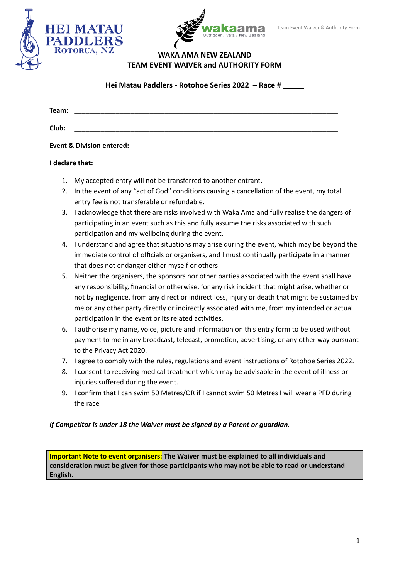



## **WAKA AMA NEW ZEALAND TEAM EVENT WAIVER and AUTHORITY FORM**

**Hei Matau Paddlers - Rotohoe Series 2022 – Race #**

| Team: |                           |  |  |  |
|-------|---------------------------|--|--|--|
| Club: |                           |  |  |  |
|       | Event & Division entered: |  |  |  |

## **I declare that:**

- 1. My accepted entry will not be transferred to another entrant.
- 2. In the event of any "act of God" conditions causing a cancellation of the event, my total entry fee is not transferable or refundable.
- 3. I acknowledge that there are risks involved with Waka Ama and fully realise the dangers of participating in an event such as this and fully assume the risks associated with such participation and my wellbeing during the event.
- 4. I understand and agree that situations may arise during the event, which may be beyond the immediate control of officials or organisers, and I must continually participate in a manner that does not endanger either myself or others.
- 5. Neither the organisers, the sponsors nor other parties associated with the event shall have any responsibility, financial or otherwise, for any risk incident that might arise, whether or not by negligence, from any direct or indirect loss, injury or death that might be sustained by me or any other party directly or indirectly associated with me, from my intended or actual participation in the event or its related activities.
- 6. I authorise my name, voice, picture and information on this entry form to be used without payment to me in any broadcast, telecast, promotion, advertising, or any other way pursuant to the Privacy Act 2020.
- 7. I agree to comply with the rules, regulations and event instructions of Rotohoe Series 2022.
- 8. I consent to receiving medical treatment which may be advisable in the event of illness or injuries suffered during the event.
- 9. I confirm that I can swim 50 Metres/OR if I cannot swim 50 Metres I will wear a PFD during the race

## *If Competitor is under 18 the Waiver must be signed by a Parent or guardian.*

**Important Note to event organisers: The Waiver must be explained to all individuals and consideration must be given for those participants who may not be able to read or understand English.**